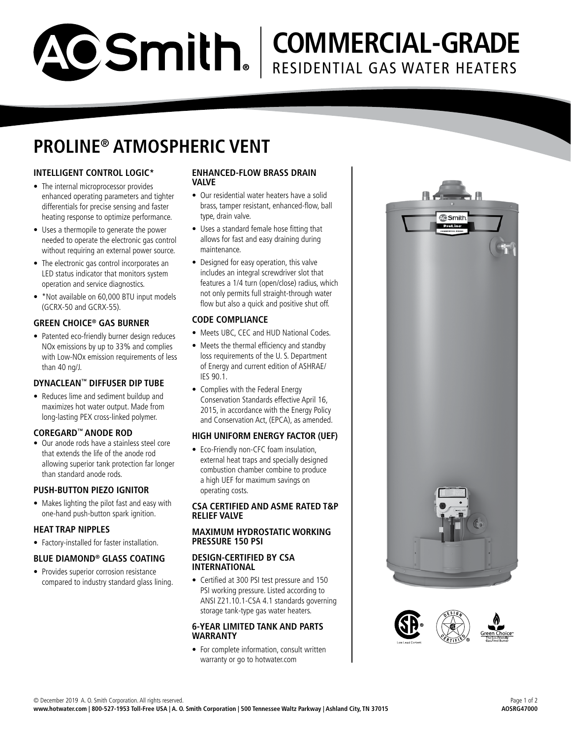# **COMMERCIAL-GRADE** RESIDENTIAL GAS WATER HEATERS

### **PROLINE® ATMOSPHERIC VENT**

### **INTELLIGENT CONTROL LOGIC\***

- The internal microprocessor provides enhanced operating parameters and tighter differentials for precise sensing and faster heating response to optimize performance.
- Uses a thermopile to generate the power needed to operate the electronic gas control without requiring an external power source.
- The electronic gas control incorporates an LED status indicator that monitors system operation and service diagnostics.
- \*Not available on 60,000 BTU input models (GCRX-50 and GCRX-55).

#### **GREEN CHOICE® GAS BURNER**

• Patented eco-friendly burner design reduces NOx emissions by up to 33% and complies with Low-NOx emission requirements of less than 40 ng/J.

#### **DYNACLEAN™ DIFFUSER DIP TUBE**

• Reduces lime and sediment buildup and maximizes hot water output. Made from long-lasting PEX cross-linked polymer.

#### **COREGARD™ ANODE ROD**

• Our anode rods have a stainless steel core that extends the life of the anode rod allowing superior tank protection far longer than standard anode rods.

#### **PUSH-BUTTON PIEZO IGNITOR**

• Makes lighting the pilot fast and easy with one-hand push-button spark ignition.

#### **HEAT TRAP NIPPLES**

• Factory-installed for faster installation.

#### **BLUE DIAMOND® GLASS COATING**

• Provides superior corrosion resistance compared to industry standard glass lining.

#### **ENHANCED-FLOW BRASS DRAIN VALVE**

- Our residential water heaters have a solid brass, tamper resistant, enhanced-flow, ball type, drain valve.
- Uses a standard female hose fitting that allows for fast and easy draining during maintenance.
- Designed for easy operation, this valve includes an integral screwdriver slot that features a 1/4 turn (open/close) radius, which not only permits full straight-through water flow but also a quick and positive shut off.

#### **CODE COMPLIANCE**

- Meets UBC, CEC and HUD National Codes.
- Meets the thermal efficiency and standby loss requirements of the U. S. Department of Energy and current edition of ASHRAE/ IES 90.1.
- Complies with the Federal Energy Conservation Standards effective April 16, 2015, in accordance with the Energy Policy and Conservation Act, (EPCA), as amended.

#### **HIGH UNIFORM ENERGY FACTOR (UEF)**

• Eco-Friendly non-CFC foam insulation, external heat traps and specially designed combustion chamber combine to produce a high UEF for maximum savings on operating costs.

#### **CSA CERTIFIED AND ASME RATED T&P RELIEF VALVE**

#### **MAXIMUM HYDROSTATIC WORKING PRESSURE 150 PSI**

#### **DESIGN-CERTIFIED BY CSA INTERNATIONAL**

• Certified at 300 PSI test pressure and 150 PSI working pressure. Listed according to ANSI Z21.10.1-CSA 4.1 standards governing storage tank-type gas water heaters.

#### **6-YEAR LIMITED TANK AND PARTS WARRANTY**

• For complete information, consult written warranty or go to hotwater.com